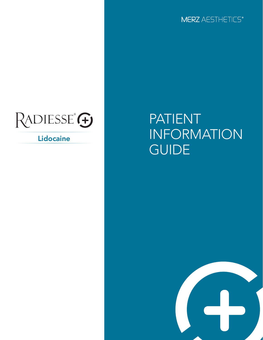

# RADIESSE<sup>®</sup>

Lidocaine

## PATIENT INFORMATION **GUIDE**

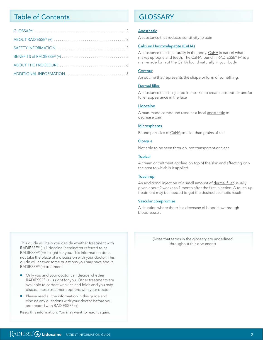## **Table of Contents**

## **GI OSSARY**

#### Anesthetic

A substance that reduces sensitivity to pain

#### Calcium Hydroxylapatite (CaHA)

A substance that is naturally in the body. CaHA is part of what makes up bone and teeth. The CaHA found in RADIESSE® (+) is a man-made form of the CaHA found naturally in your body.

#### Contour

An outline that represents the shape or form of something.

#### **Dermal filler**

A substance that is injected in the skin to create a smoother and/or fuller appearance in the face

#### Lidocaine

A man-made compound used as a local anesthetic to decrease pain

#### **Microspheres**

Round particles of CaHA smaller than grains of salt

#### Opaque

Not able to be seen through, not transparent or clear

#### **Topical**

A cream or ointment applied on top of the skin and affecting only the area to which is it applied

#### Touch-up

An additional injection of a small amount of dermal filler usually given about 2 weeks to 1 month after the first injection. A touch-up treatment may be needed to get the desired cosmetic result.

#### Vascular compromise

A situation where there is a decrease of blood flow through blood vessels

> (Note that terms in the glossary are underlined throughout this document)

This guide will help you decide whether treatment with RADIESSE® (+) Lidocaine (hereinafter referred to as RADIESSE® (+)) is right for you. This information does not take the place of a discussion with your doctor. This guide will answer some questions you may have about RADIESSE® (+) treatment.

- Only you and your doctor can decide whether RADIESSE® (+) is right for you. Other treatments are available to correct wrinkles and folds and you may discuss these treatment options with your doctor.
- Please read all the information in this guide and  $\blacksquare$ discuss any questions with your doctor before you are treated with RADIESSE® (+).

Keep this information. You may want to read it again.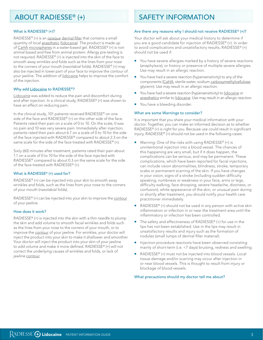## ABOUT RADIESSE® (+)

#### What is RADIESSE® (+)?

RADIESSE® (+) is an opaque dermal filler that contains a small quantity of local anesthetic (lidocaine). The product is made up of CaHA microspheres in a water-based gel. RADIESSE® (+) is non animal based and free from animal protein. Allergy pre-testing is not required. RADIESSE® (+) is injected into the skin of the face to smooth away wrinkles and folds such as the lines from your nose to the corners of your mouth (nasolabial folds). RADIESSE® (+) may also be injected in lower part of your face to improve the contour of your jawline. The addition of lidocaine helps to improve the comfort of the injection.

#### Why add Lidocaine to RADIESSE®?

Lidocaine was added to reduce the pain and discomfort during and after injection. In a clinical study, RADIESSE® (+) was shown to have an effect on reducing pain.

In the clinical study, 101 patients received RADIESSE® on one side of the face and RADIESSE® (+) on the other side of the face. Patients rated their pain on a scale of 0 to 10. On the scale, 0 was no pain and 10 was very severe pain. Immediately after injection, patients rated their pain about 6.7 on a scale of 0 to 10 for the side of the face injected with RADIESSE® compared to about 2.3 on the same scale for the side of the face treated with RADIESSE® (+).

Sixty (60) minutes after treatment, patients rated their pain about 1.1 on a scale of 0 to 10 for the side of the face injected with RADIESSE® compared to about 0.3 on the same scale for the side of the face treated with RADIESSE® (+).

#### What is RADIESSE® (+) used for?

RADIESSE® (+) can be injected into your skin to smooth away wrinkles and folds, such as the lines from your nose to the corners of your mouth (nasolabial folds).

RADIESSE® (+) can be injected into your skin to improve the contour of your jawline.

#### How does it work?

RADIESSE® (+) is injected into the skin with a thin needle to plump the skin and add volume to smooth facial wrinkles and folds such as the lines from your nose to the corners of your mouth, or to improve the contour of your jawline. For wrinkles, your doctor will inject the product into your skin to make it shallower and smoother. Your doctor will inject the product into your skin of your jawline to add volume and make it more defined. RADIESSE® (+) will not correct the underlying causes of wrinkles and folds, or lack of jawline contour.

## SAFETY INFORMATION

#### Are there any reasons why I should not receive RADIESSE® (+)?

Your doctor will ask about your medical history to determine if you are a good candidate for injection of RADIESSE® (+). In order to avoid complications and unsatisfactory results, RADIESSE® (+) should not be used if:

- You have severe allergies marked by a history of severe reactions (anaphylaxis), or history or presence of multiple severe allergies. Use may result in an allergic reaction.
- $\blacksquare$  You have had a severe reaction (hypersensitivity) to any of the components (CaHA, sterile water, sodium carboxymethylcellulose, glycerin). Use may result in an allergic reaction.
- You have had a severe reaction (hypersensitivity) to lidocaine or anesthetics similar to lidocaine. Use may result in an allergic reaction.
- **•** You have a bleeding disorder.

#### What are some Warnings to consider?

It is important that you share your medical information with your doctor. Together, you can make an informed decision as to whether RADIESSE® (+) is right for you. Because use could result in significant injury, RADIESSE® (+) should not be used in the following cases:

- Warning: One of the risks with using RADIESSE<sup>®</sup> (+) is unintentional injection into a blood vessel. The chances of this happening are very small, but if it does happen, the complications can be serious, and may be permanent. These complications, which have been reported for facial injections, can include vision abnormalities, blindness, stroke, temporary scabs or permanent scarring of the skin. If you have changes in your vision, signs of a stroke (including sudden difficulty speaking, numbness or weakness in your face, arms or legs, difficulty walking, face drooping, severe headache, dizziness, or confusion), white appearance of the skin, or unusual pain during or shortly after treatment, you should notify your health care practitioner immediately.
- RADIESSE® (+) should not be used in any person with active skin inflammation or infection in or near the treatment area until the inflammatory or infection has been controlled.
- The safety and effectiveness of RADIESSE® (+) for use in the lips has not been established. Use in the lips may result in unsatisfactory results and injury such as the formation of nodules (small lumps of dermal filler material).
- **Injection procedure reactions have been observed consisting** mainly of short-term (i.e. <7 days) bruising, redness and swelling.
- RADIESSE® (+) must not be injected into blood vessels. Local tissue damage and/or scarring may occur after injection in or near blood vessels. This is thought to result from injury or blockage of blood vessels.

What precautions should my doctor tell me about?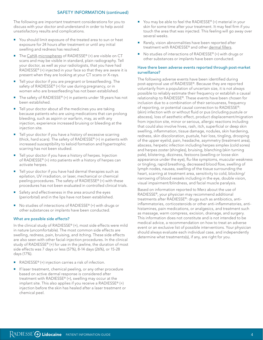#### SAFETY INFORMATION (continued)

The following are important treatment considerations for you to discuss with your doctor and understand in order to help avoid unsatisfactory results and complications.

- You should limit exposure of the treated area to sun or heat exposure for 24 hours after treatment or until any initial swelling and redness has resolved.
- The CaHA microspheres of RADIESSE® (+) are visible on CT scans and may be visible in standard, plain radiography. Tell your doctor, as well as your radiologists, that you have had RADIESSE® (+) injected in your face so that they are aware it is present when they are looking at your CT scans or X-rays.
- Tell your doctor if you are pregnant or breastfeeding. The safety of RADIESSE® (+) for use during pregnancy, or in women who are breastfeeding has not been established.
- The safety of RADIESSE® (+) in patients under 18 years has not been established.
- Tell your doctor about all the medicines you are taking because patients who are using medications that can prolong bleeding, such as aspirin or warfarin, may, as with any injection, experience increased bruising or bleeding at the injection site.
- **Tell your doctor if you have a history of excessive scarring** (thick, hard scars). The safety of RADIESSE® (+) in patients with increased susceptibility to keloid formation and hypertrophic scarring has not been studied.
- Tell your doctor if you have a history of herpes. Injection of RADIESSE® (+) into patients with a history of herpes can activate herpes.
- Tell your doctor if you have had dermal therapies such as epilation, UV irradiation, or laser, mechanical or chemical peeling procedures. The safety of RADIESSE® (+) with these procedures has not been evaluated in controlled clinical trials.
- Safety and effectiveness in the area around the eyes (periorbital) and in the lips have not been established.
- No studies of interactions of RADIESSE® (+) with drugs or other substances or implants have been conducted.

#### What are possible side effects?

In the clinical study of RADIESSE® (+), most side effects were mild in nature (uncomfortable). The most common side effects are swelling, redness, pain, bruising, and itching. These side effects are also seen with other facial-injection procedures. In the clinical study of RADIESSE® (+) for use in the jawline, the duration of most side effects was 7 days or less (57%), 8-14 days (26%), or 15-28 days (17%).

- RADIESSE® (+) injection carries a risk of infection.
- If laser treatment, chemical peeling, or any other procedure based on active dermal response is considered after treatment with RADIESSE® (+), swelling may occur at the implant site. This also applies if you receive a RADIESSE® (+) injection before the skin has healed after a laser treatment or chemical peel.
- You may be able to feel the RADIESSE® (+) material in your skin for some time after your treatment. It may feel firm if you touch the area that was injected. This feeling will go away over several weeks.
- Rarely, vision abnormalities have been reported after treatment with RADIESSE® and other dermal fillers.
- No studies of interactions of RADIESSE® (+) with drugs or other substances or implants have been conducted.

#### Have there been adverse events reported through post-market surveillance?

The following adverse events have been identified during post-approval use of RADIESSE®. Because they are reported voluntarily from a population of uncertain size, it is not always possible to reliably estimate their frequency or establish a causal relationship to RADIESSE®. These events have been chosen for inclusion due to a combination of their seriousness, frequency of reporting, or potential causal connection to RADIESSE®: (skin) infection with or without fluid or pus (including pustule or abscess), loss of aesthetic effect, product displacement/migration from injection site, minor or serious, allergic reactions including that could also involve hives, rash, itch, superficial or deep skin swelling, inflammation, tissue damage, nodules, skin hardening, redness, skin discoloration, pustule, hair loss, tingling, drooping of the upper eyelid, pain, headache, asymmetry (treatment area), abscess, herpetic infection including herpes simplex (cold sores) and herpes zoster (shingles), bruising, blanching (skin turning pale), blistering, dizziness, festoons (swelling or loose skin appearance under the eye), flu-like symptoms, muscular weakness or tingling, rapid breathing, decreased blood flow, swelling of lymph nodes, nausea, swelling of the tissue surrounding the heart, scarring at treatment area, sensitivity to cold, blocking/ narrowing of blood vessels including in the eye, double vision, visual impairment/blindness, and facial muscle paralysis.

Based on information reported to Merz about the use of RADIESSE®, your physician may recommend additional treatments after RADIESSE®: drugs such as antibiotics, antiinflammatories, corticosteroids or other anti-inflammatories, antihistamines, pain medications, or analgesics, and treatment such as massage, warm compress, excision, drainage, and surgery. This information does not constitute and is not intended to be medical advice, a recommendation on how to treat an adverse event or an exclusive list of possible interventions. Your physician should always evaluate each individual case, and independently determine what treatments(s), if any, are right for you.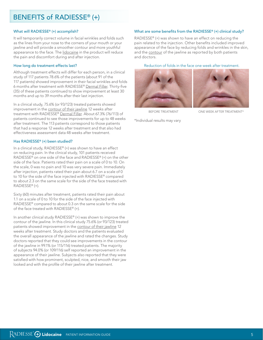## BENEFITS of RADIESSE® (+)

#### What will RADIESSE® (+) accomplish?

It will temporarily correct volume in facial wrinkles and folds such as the lines from your nose to the corners of your mouth or your jawline and will provide a smoother contour and more youthful appearance to the face. The lidocaine in the product will reduce the pain and discomfort during and after injection.

#### How long do treatment effects last?

Although treatment effects will differ for each person, in a clinical study of 117 patients 78.6% of the patients (about 91 of the 117 patients) showed improvement in their facial wrinkles and folds 6 months after treatment with RADIESSE® Dermal Filler. Thirty-five (35) of these patients continued to show improvement at least 30 months and up to 39 months after their last injection.

In a clinical study, 75.6% (or 93/123) treated patients showed improvement in the contour of their jawline 12 weeks after treatment with RADIESSE® Dermal Filler. About 67.3% (76/113) of patients continued to see those improvements for up to 48 weeks after treatment. The 113 patients correspond to those patients that had a response 12 weeks after treatment and that also had effectiveness assessment data 48 weeks after treatment.

#### Has RADIESSE® (+) been studied?

In a clinical study, RADIESSE® (+) was shown to have an effect on reducing pain. In the clinical study, 101 patients received RADIESSE® on one side of the face and RADIESSE® (+) on the other side of the face. Patients rated their pain on a scale of 0 to 10. On the scale, 0 was no pain and 10 was very severe pain. Immediately after injection, patients rated their pain about 6.7 on a scale of 0 to 10 for the side of the face injected with RADIESSE® compared to about 2.3 on the same scale for the side of the face treated with RADIESSE® (+).

Sixty (60) minutes after treatment, patients rated their pain about 1.1 on a scale of 0 to 10 for the side of the face injected with RADIESSE® compared to about 0.3 on the same scale for the side of the face treated with RADIESSE® (+).

In another clinical study RADIESSE® (+) was shown to improve the contour of the jawline. In this clinical study 75.6% (or 93/123) treated patients showed improvement in the contour of their jawline 12 weeks after treatment. Study doctors and the patients evaluated the overall appearance of the jawline and rated the changes. Study doctors reported that they could see improvements in the contour of the jawline in 99.1% (or 115/116) treated patients. The majority of subjects 94.0% (or 109/116) self reported an improvement in the appearance of their jawline. Subjects also reported that they were satisfied with how prominent, sculpted, nice, and smooth their jaw looked and with the profile of their jawline after treatment.

#### What are some benefits from the RADIESSE® (+) clinical study?

RADIESSE® (+) was shown to have an effect on reducing the pain related to the injection. Other benefits included improved appearance of the face by reducing folds and wrinkles in the skin, and the contour of the jawline as reported by both patients and doctors.

#### Reduction of folds in the face one week after treatment.





BEFORE TREATMENT ONE WEEK AFTER TREATMENT\*

\*Individual results may vary